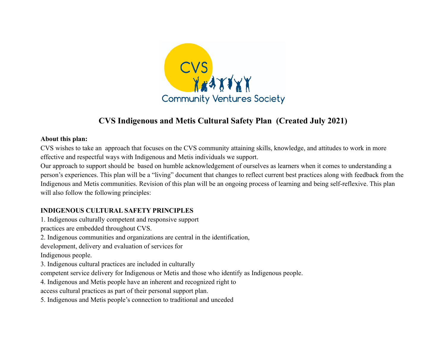

# **CVS Indigenous and Metis Cultural Safety Plan (Created July 2021)**

#### **About this plan:**

CVS wishes to take an approach that focuses on the CVS community attaining skills, knowledge, and attitudes to work in more effective and respectful ways with Indigenous and Metis individuals we support.

Our approach to support should be based on humble acknowledgement of ourselves as learners when it comes to understanding a person's experiences. This plan will be a "living" document that changes to reflect current best practices along with feedback from the Indigenous and Metis communities. Revision of this plan will be an ongoing process of learning and being self-reflexive. This plan will also follow the following principles:

#### **INDIGENOUS CULTURAL SAFETY PRINCIPLES**

1. Indigenous culturally competent and responsive support practices are embedded throughout CVS. 2. Indigenous communities and organizations are central in the identification, development, delivery and evaluation of services for Indigenous people. 3. Indigenous cultural practices are included in culturally competent service delivery for Indigenous or Metis and those who identify as Indigenous people. 4. Indigenous and Metis people have an inherent and recognized right to access cultural practices as part of their personal support plan. 5. Indigenous and Metis people's connection to traditional and unceded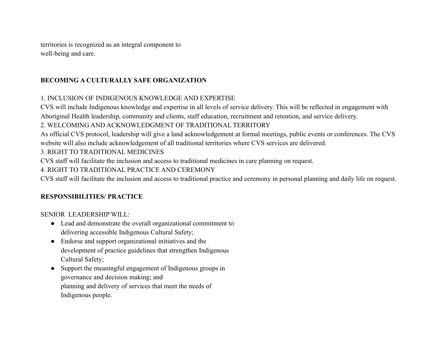territories is recognized as an integral component to well-being and care.

## **BECOMING A CULTURALLY SAFE ORGANIZATION**

## 1. INCLUSION OF INDIGENOUS KNOWLEDGE AND EXPERTISE

CVS will include Indigenous knowledge and expertise in all levels of service delivery. This will be reflected in engagement with Aboriginal Health leadership, community and clients, staff education, recruitment and retention, and service delivery.

### 2. WELCOMING AND ACKNOWLEDGMENT OF TRADITIONAL TERRITORY

As official CVS protocol, leadership will give a land acknowledgement at formal meetings, public events or conferences. The CVS website will also include acknowledgement of all traditional territories where CVS services are delivered.

3. RIGHT TO TRADITIONAL MEDICINES

CVS staff will facilitate the inclusion and access to traditional medicines in care planning on request.

4. RIGHT TO TRADITIONAL PRACTICE AND CEREMONY

CVS staff will facilitate the inclusion and access to traditional practice and ceremony in personal planning and daily life on request.

### **RESPONSIBILITIES/ PRACTICE**

SENIOR LEADERSHIP WILL:

- Lead and demonstrate the overall organizational commitment to delivering accessible Indigenous Cultural Safety;
- Endorse and support organizational initiatives and the development of practice guidelines that strengthen Indigenous Cultural Safety;
- Support the meaningful engagement of Indigenous groups in governance and decision making; and planning and delivery of services that meet the needs of Indigenous people.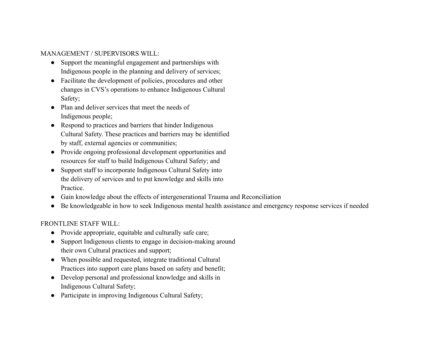#### MANAGEMENT / SUPERVISORS WILL:

- Support the meaningful engagement and partnerships with Indigenous people in the planning and delivery of services;
- Facilitate the development of policies, procedures and other changes in CVS's operations to enhance Indigenous Cultural Safety;
- Plan and deliver services that meet the needs of Indigenous people;
- Respond to practices and barriers that hinder Indigenous Cultural Safety. These practices and barriers may be identified by staff, external agencies or communities;
- Provide ongoing professional development opportunities and resources for staff to build Indigenous Cultural Safety; and
- Support staff to incorporate Indigenous Cultural Safety into the delivery of services and to put knowledge and skills into Practice.
- Gain knowledge about the effects of intergenerational Trauma and Reconciliation
- Be knowledgeable in how to seek Indigenous mental health assistance and emergency response services if needed

#### FRONTLINE STAFF WILL:

- Provide appropriate, equitable and culturally safe care;
- Support Indigenous clients to engage in decision-making around their own Cultural practices and support;
- When possible and requested, integrate traditional Cultural Practices into support care plans based on safety and benefit;
- Develop personal and professional knowledge and skills in Indigenous Cultural Safety;
- Participate in improving Indigenous Cultural Safety;